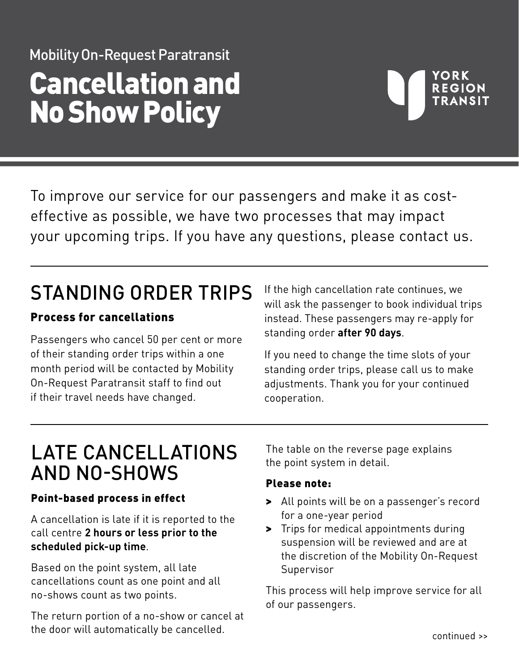# Mobility On-Request Paratransit Cancellation and No Show Policy

## YORK **REGION**

To improve our service for our passengers and make it as costeffective as possible, we have two processes that may impact your upcoming trips. If you have any questions, please contact us.

## STANDING ORDER TRIPS

### Process for cancellations

Passengers who cancel 50 per cent or more of their standing order trips within a one month period will be contacted by Mobility On-Request Paratransit staff to find out if their travel needs have changed.

If the high cancellation rate continues, we will ask the passenger to book individual trips instead. These passengers may re-apply for standing order **after 90 days**.

If you need to change the time slots of your standing order trips, please call us to make adjustments. Thank you for your continued cooperation.

### LATE CANCELLATIONS AND NO-SHOWS

### Point-based process in effect

A cancellation is late if it is reported to the call centre **2 hours or less prior to the scheduled pick-up time**.

Based on the point system, all late cancellations count as one point and all no-shows count as two points.

The return portion of a no-show or cancel at the door will automatically be cancelled.

The table on the reverse page explains the point system in detail.

### Please note:

- > All points will be on a passenger's record for a one-year period
- > Trips for medical appointments during suspension will be reviewed and are at the discretion of the Mobility On-Request Supervisor

This process will help improve service for all of our passengers.